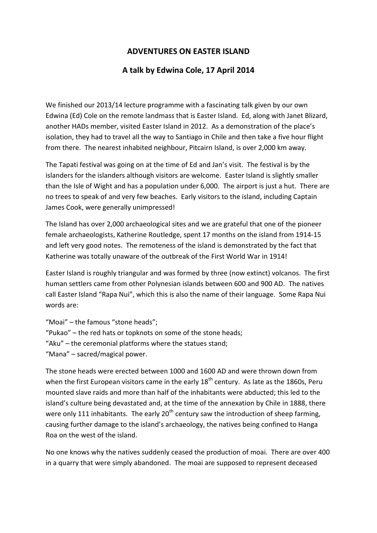## **ADVENTURES ON EASTER ISLAND**

## **A talk by Edwina Cole, 17 April 2014**

We finished our 2013/14 lecture programme with a fascinating talk given by our own Edwina (Ed) Cole on the remote landmass that is Easter Island. Ed, along with Janet Blizard, another HADs member, visited Easter Island in 2012. As a demonstration of the place's isolation, they had to travel all the way to Santiago in Chile and then take a five hour flight from there. The nearest inhabited neighbour, Pitcairn Island, is over 2,000 km away.

The Tapati festival was going on at the time of Ed and Jan's visit. The festival is by the islanders for the islanders although visitors are welcome. Easter Island is slightly smaller than the Isle of Wight and has a population under 6,000. The airport is just a hut. There are no trees to speak of and very few beaches. Early visitors to the island, including Captain James Cook, were generally unimpressed!

The Island has over 2,000 archaeological sites and we are grateful that one of the pioneer female archaeologists, Katherine Routledge, spent 17 months on the island from 1914-15 and left very good notes. The remoteness of the island is demonstrated by the fact that Katherine was totally unaware of the outbreak of the First World War in 1914!

Easter Island is roughly triangular and was formed by three (now extinct) volcanos. The first human settlers came from other Polynesian islands between 600 and 900 AD. The natives call Easter Island "Rapa Nui", which this is also the name of their language. Some Rapa Nui words are:

"Moai" – the famous "stone heads"; "Pukao" – the red hats or topknots on some of the stone heads; "Aku" – the ceremonial platforms where the statues stand; "Mana" – sacred/magical power.

The stone heads were erected between 1000 and 1600 AD and were thrown down from when the first European visitors came in the early  $18<sup>th</sup>$  century. As late as the 1860s, Peru mounted slave raids and more than half of the inhabitants were abducted; this led to the island's culture being devastated and, at the time of the annexation by Chile in 1888, there were only 111 inhabitants. The early  $20<sup>th</sup>$  century saw the introduction of sheep farming, causing further damage to the island's archaeology, the natives being confined to Hanga Roa on the west of the island.

No one knows why the natives suddenly ceased the production of moai. There are over 400 in a quarry that were simply abandoned. The moai are supposed to represent deceased